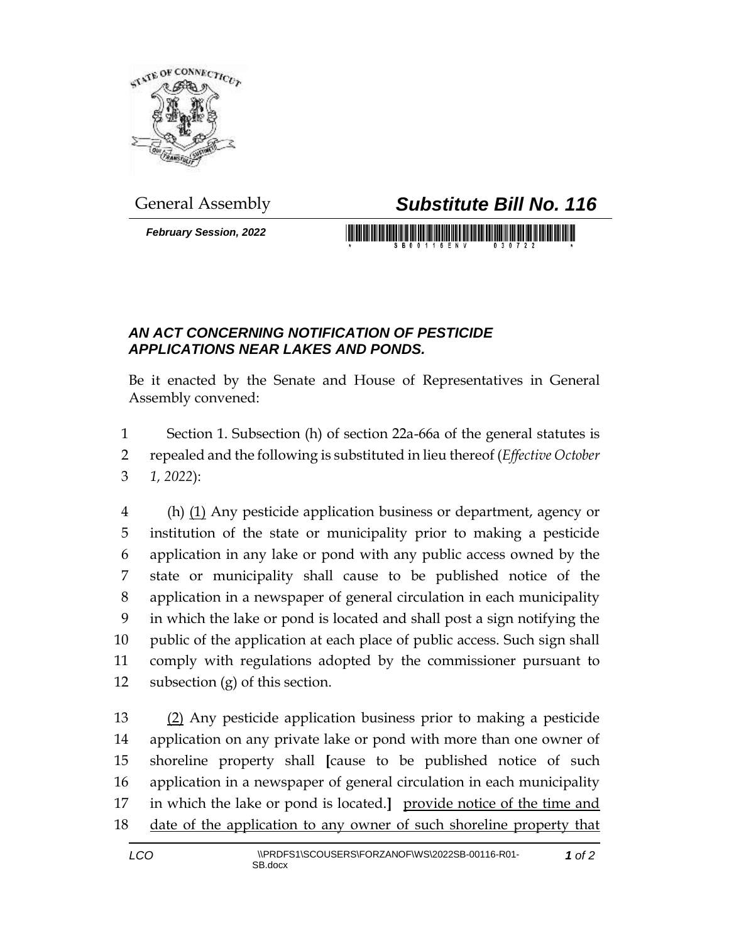

## General Assembly *Substitute Bill No. 116*

*February Session, 2022*

## *AN ACT CONCERNING NOTIFICATION OF PESTICIDE APPLICATIONS NEAR LAKES AND PONDS.*

Be it enacted by the Senate and House of Representatives in General Assembly convened:

 Section 1. Subsection (h) of section 22a-66a of the general statutes is repealed and the following is substituted in lieu thereof (*Effective October 1, 2022*):

 (h) (1) Any pesticide application business or department, agency or institution of the state or municipality prior to making a pesticide application in any lake or pond with any public access owned by the state or municipality shall cause to be published notice of the application in a newspaper of general circulation in each municipality in which the lake or pond is located and shall post a sign notifying the public of the application at each place of public access. Such sign shall comply with regulations adopted by the commissioner pursuant to subsection (g) of this section.

 (2) Any pesticide application business prior to making a pesticide application on any private lake or pond with more than one owner of shoreline property shall **[**cause to be published notice of such application in a newspaper of general circulation in each municipality in which the lake or pond is located.**]** provide notice of the time and date of the application to any owner of such shoreline property that